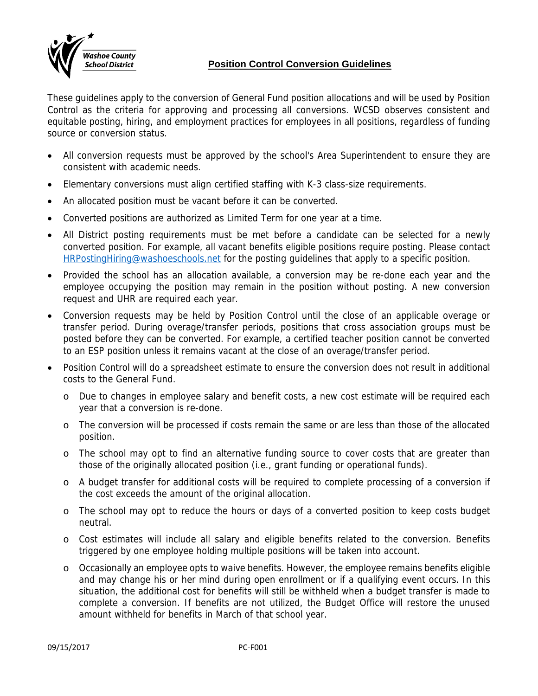

## **Position Control Conversion Guidelines**

These guidelines apply to the conversion of General Fund position allocations and will be used by Position Control as the criteria for approving and processing all conversions. WCSD observes consistent and equitable posting, hiring, and employment practices for employees in all positions, regardless of funding source or conversion status.

- All conversion requests must be approved by the school's Area Superintendent to ensure they are consistent with academic needs.
- Elementary conversions must align certified staffing with K-3 class-size requirements.
- An allocated position must be vacant before it can be converted.
- Converted positions are authorized as Limited Term for one year at a time.
- All District posting requirements must be met before a candidate can be selected for a newly converted position. For example, all vacant benefits eligible positions require posting. Please contact HRPostingHiring@washoeschools.net for the posting guidelines that apply to a specific position.
- Provided the school has an allocation available, a conversion may be re-done each year and the employee occupying the position may remain in the position without posting. A new conversion request and UHR are required each year.
- Conversion requests may be held by Position Control until the close of an applicable overage or transfer period. During overage/transfer periods, positions that cross association groups must be posted before they can be converted. For example, a certified teacher position cannot be converted to an ESP position unless it remains vacant at the close of an overage/transfer period.
- Position Control will do a spreadsheet estimate to ensure the conversion does not result in additional costs to the General Fund.
	- o Due to changes in employee salary and benefit costs, a new cost estimate will be required each year that a conversion is re-done.
	- o The conversion will be processed if costs remain the same or are less than those of the allocated position.
	- o The school may opt to find an alternative funding source to cover costs that are greater than those of the originally allocated position (i.e., grant funding or operational funds).
	- o A budget transfer for additional costs will be required to complete processing of a conversion if the cost exceeds the amount of the original allocation.
	- o The school may opt to reduce the hours or days of a converted position to keep costs budget neutral.
	- o Cost estimates will include all salary and eligible benefits related to the conversion. Benefits triggered by one employee holding multiple positions will be taken into account.
	- o Occasionally an employee opts to waive benefits. However, the employee remains benefits eligible and may change his or her mind during open enrollment or if a qualifying event occurs. In this situation, the additional cost for benefits will still be withheld when a budget transfer is made to complete a conversion. If benefits are not utilized, the Budget Office will restore the unused amount withheld for benefits in March of that school year.